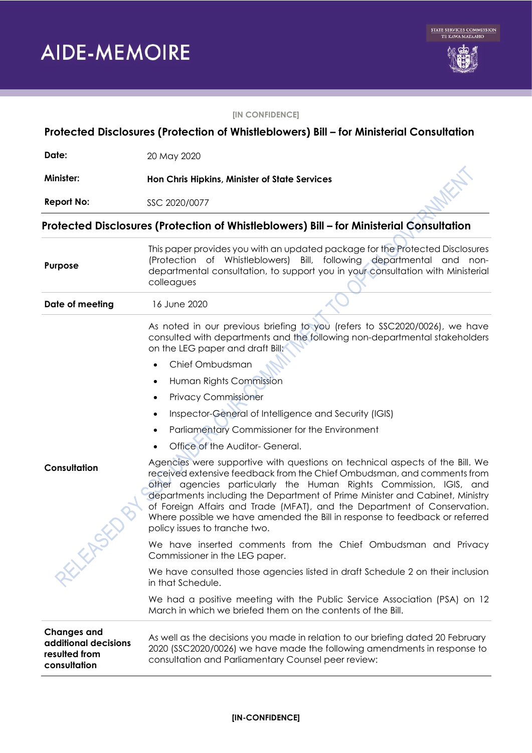**AIDE-MEMOIRE** 



## **[IN CONFIDENCE]**

| Protected Disclosures (Protection of Whistleblowers) Bill - for Ministerial Consultation |                                                                                                                                                                                                                                                                                                                                                                                                                                                                                                           |  |  |
|------------------------------------------------------------------------------------------|-----------------------------------------------------------------------------------------------------------------------------------------------------------------------------------------------------------------------------------------------------------------------------------------------------------------------------------------------------------------------------------------------------------------------------------------------------------------------------------------------------------|--|--|
| Date:                                                                                    | 20 May 2020                                                                                                                                                                                                                                                                                                                                                                                                                                                                                               |  |  |
| <b>Minister:</b>                                                                         | Hon Chris Hipkins, Minister of State Services                                                                                                                                                                                                                                                                                                                                                                                                                                                             |  |  |
| <b>Report No:</b>                                                                        | SSC 2020/0077                                                                                                                                                                                                                                                                                                                                                                                                                                                                                             |  |  |
| Protected Disclosures (Protection of Whistleblowers) Bill - for Ministerial Consultation |                                                                                                                                                                                                                                                                                                                                                                                                                                                                                                           |  |  |
| Purpose                                                                                  | This paper provides you with an updated package for the Protected Disclosures<br>(Protection of Whistleblowers) Bill, following departmental and non-<br>departmental consultation, to support you in your consultation with Ministerial<br>colleagues                                                                                                                                                                                                                                                    |  |  |
| Date of meeting                                                                          | 16 June 2020                                                                                                                                                                                                                                                                                                                                                                                                                                                                                              |  |  |
|                                                                                          | As noted in our previous briefing to you (refers to SSC2020/0026), we have<br>consulted with departments and the following non-departmental stakeholders<br>on the LEG paper and draft Bill:                                                                                                                                                                                                                                                                                                              |  |  |
|                                                                                          | Chief Ombudsman<br>$\bullet$                                                                                                                                                                                                                                                                                                                                                                                                                                                                              |  |  |
|                                                                                          | Human Rights Commission<br>$\bullet$                                                                                                                                                                                                                                                                                                                                                                                                                                                                      |  |  |
|                                                                                          | <b>Privacy Commissioner</b><br>$\bullet$                                                                                                                                                                                                                                                                                                                                                                                                                                                                  |  |  |
|                                                                                          | Inspector-General of Intelligence and Security (IGIS)                                                                                                                                                                                                                                                                                                                                                                                                                                                     |  |  |
|                                                                                          | Parliamentary Commissioner for the Environment                                                                                                                                                                                                                                                                                                                                                                                                                                                            |  |  |
|                                                                                          | Office of the Auditor- General.                                                                                                                                                                                                                                                                                                                                                                                                                                                                           |  |  |
| Consultation                                                                             | Agencies were supportive with questions on technical aspects of the Bill. We<br>received extensive feedback from the Chief Ombudsman, and comments from<br>other agencies particularly the Human Rights Commission, IGIS, and<br>departments including the Department of Prime Minister and Cabinet, Ministry<br>of Foreign Affairs and Trade (MFAT), and the Department of Conservation.<br>Where possible we have amended the Bill in response to feedback or referred<br>policy issues to tranche two. |  |  |
| ELEASE                                                                                   | We have inserted comments from the Chief Ombudsman and Privacy<br>Commissioner in the LEG paper.                                                                                                                                                                                                                                                                                                                                                                                                          |  |  |
|                                                                                          | We have consulted those agencies listed in draft Schedule 2 on their inclusion<br>in that Schedule.                                                                                                                                                                                                                                                                                                                                                                                                       |  |  |
|                                                                                          | We had a positive meeting with the Public Service Association (PSA) on 12<br>March in which we briefed them on the contents of the Bill.                                                                                                                                                                                                                                                                                                                                                                  |  |  |
| <b>Changes and</b><br>additional decisions<br>resulted from<br>consultation              | As well as the decisions you made in relation to our briefing dated 20 February<br>2020 (SSC2020/0026) we have made the following amendments in response to<br>consultation and Parliamentary Counsel peer review:                                                                                                                                                                                                                                                                                        |  |  |